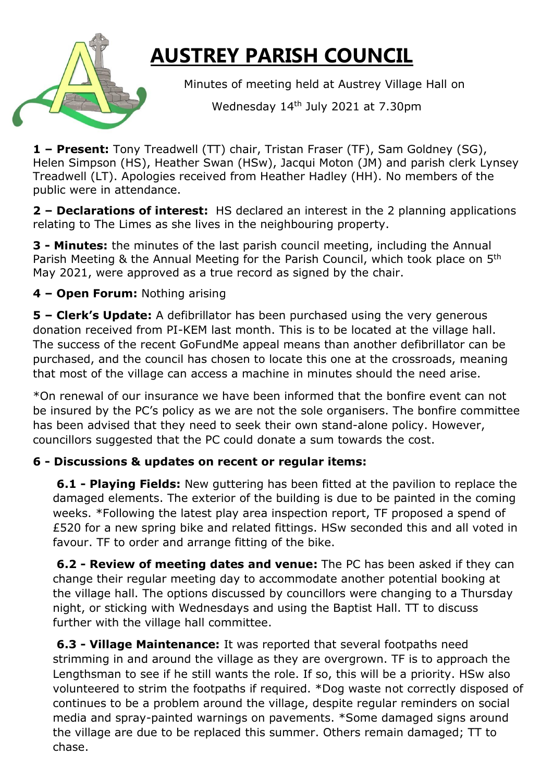

## **AUSTREY PARISH COUNCIL**

Minutes of meeting held at Austrey Village Hall on

Wednesday 14th July 2021 at 7.30pm

**1 – Present:** Tony Treadwell (TT) chair, Tristan Fraser (TF), Sam Goldney (SG), Helen Simpson (HS), Heather Swan (HSw), Jacqui Moton (JM) and parish clerk Lynsey Treadwell (LT). Apologies received from Heather Hadley (HH). No members of the public were in attendance.

**2 – Declarations of interest:** HS declared an interest in the 2 planning applications relating to The Limes as she lives in the neighbouring property.

**3 - Minutes:** the minutes of the last parish council meeting, including the Annual Parish Meeting & the Annual Meeting for the Parish Council, which took place on 5<sup>th</sup> May 2021, were approved as a true record as signed by the chair.

## **4 – Open Forum:** Nothing arising

**5 – Clerk's Update:** A defibrillator has been purchased using the very generous donation received from PI-KEM last month. This is to be located at the village hall. The success of the recent GoFundMe appeal means than another defibrillator can be purchased, and the council has chosen to locate this one at the crossroads, meaning that most of the village can access a machine in minutes should the need arise.

\*On renewal of our insurance we have been informed that the bonfire event can not be insured by the PC's policy as we are not the sole organisers. The bonfire committee has been advised that they need to seek their own stand-alone policy. However, councillors suggested that the PC could donate a sum towards the cost.

## **6 - Discussions & updates on recent or regular items:**

**6.1 - Playing Fields:** New guttering has been fitted at the pavilion to replace the damaged elements. The exterior of the building is due to be painted in the coming weeks. \*Following the latest play area inspection report, TF proposed a spend of £520 for a new spring bike and related fittings. HSw seconded this and all voted in favour. TF to order and arrange fitting of the bike.

**6.2 - Review of meeting dates and venue:** The PC has been asked if they can change their regular meeting day to accommodate another potential booking at the village hall. The options discussed by councillors were changing to a Thursday night, or sticking with Wednesdays and using the Baptist Hall. TT to discuss further with the village hall committee.

**6.3 - Village Maintenance:** It was reported that several footpaths need strimming in and around the village as they are overgrown. TF is to approach the Lengthsman to see if he still wants the role. If so, this will be a priority. HSw also volunteered to strim the footpaths if required. \*Dog waste not correctly disposed of continues to be a problem around the village, despite regular reminders on social media and spray-painted warnings on pavements. \*Some damaged signs around the village are due to be replaced this summer. Others remain damaged; TT to chase.